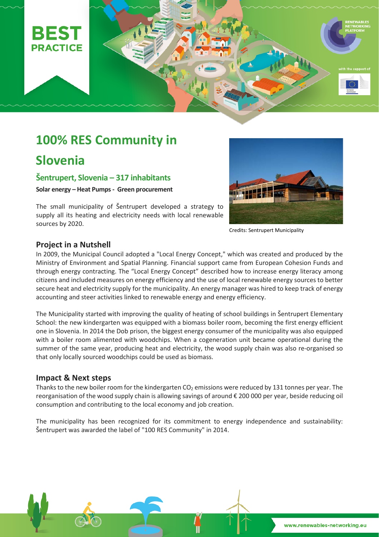

# **100% RES Community in**

# **Slovenia**

**Šentrupert, Slovenia – 317 inhabitants** 

**Solar energy – Heat Pumps - Green procurement**

The small municipality of Šentrupert developed a strategy to supply all its heating and electricity needs with local renewable sources by 2020.



Credits: Sentrupert Municipality

### **Project in a Nutshell**

In 2009, the Municipal Council adopted a "Local Energy Concept," which was created and produced by the Ministry of Environment and Spatial Planning. Financial support came from European Cohesion Funds and through energy contracting. The "Local Energy Concept" described how to increase energy literacy among citizens and included measures on energy efficiency and the use of local renewable energy sources to better secure heat and electricity supply for the municipality. An energy manager was hired to keep track of energy accounting and steer activities linked to renewable energy and energy efficiency.

The Municipality started with improving the quality of heating of school buildings in Šentrupert Elementary School: the new kindergarten was equipped with a biomass boiler room, becoming the first energy efficient one in Slovenia. In 2014 the Dob prison, the biggest energy consumer of the municipality was also equipped with a boiler room alimented with woodchips. When a cogeneration unit became operational during the summer of the same year, producing heat and electricity, the wood supply chain was also re-organised so that only locally sourced woodchips could be used as biomass.

#### **Impact & Next steps**

Thanks to the new boiler room for the kindergarten CO<sub>2</sub> emissions were reduced by 131 tonnes per year. The reorganisation of the wood supply chain is allowing savings of around € 200 000 per year, beside reducing oil consumption and contributing to the local economy and job creation.

The municipality has been recognized for its commitment to energy independence and sustainability: Šentrupert was awarded the label of "100 RES Community" in 2014.